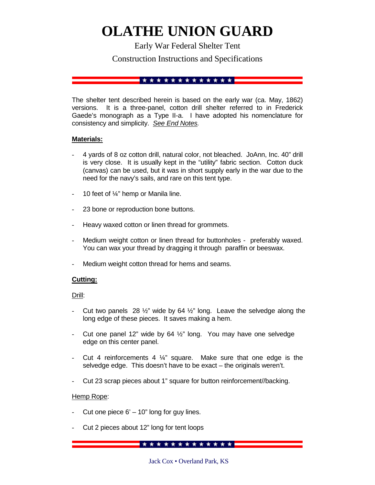# **OLATHE UNION GUARD**

Early War Federal Shelter Tent

Construction Instructions and Specifications

#### 

The shelter tent described herein is based on the early war (ca. May, 1862) versions. It is a three-panel, cotton drill shelter referred to in Frederick Gaede's monograph as a Type II-a. I have adopted his nomenclature for consistency and simplicity. *See End Notes.*

# **Materials:**

- 4 yards of 8 oz cotton drill, natural color, not bleached. JoAnn, Inc. 40" drill is very close. It is usually kept in the "utility" fabric section. Cotton duck (canvas) can be used, but it was in short supply early in the war due to the need for the navy's sails, and rare on this tent type.
- 10 feet of  $\frac{1}{4}$ " hemp or Manila line.
- 23 bone or reproduction bone buttons.
- Heavy waxed cotton or linen thread for grommets.
- Medium weight cotton or linen thread for buttonholes preferably waxed. You can wax your thread by dragging it through paraffin or beeswax.
- Medium weight cotton thread for hems and seams.

# **Cutting:**

Drill:

- Cut two panels 28  $\frac{1}{2}$ " wide by 64  $\frac{1}{2}$ " long. Leave the selvedge along the long edge of these pieces. It saves making a hem.
- Cut one panel 12" wide by 64  $\frac{1}{2}$ " long. You may have one selvedge edge on this center panel.
- Cut 4 reinforcements 4  $\frac{1}{4}$ " square. Make sure that one edge is the selvedge edge. This doesn't have to be exact – the originals weren't.
- Cut 23 scrap pieces about 1" square for button reinforcement//backing.

# Hemp Rope:

- Cut one piece  $6' 10''$  long for guy lines.
- Cut 2 pieces about 12" long for tent loops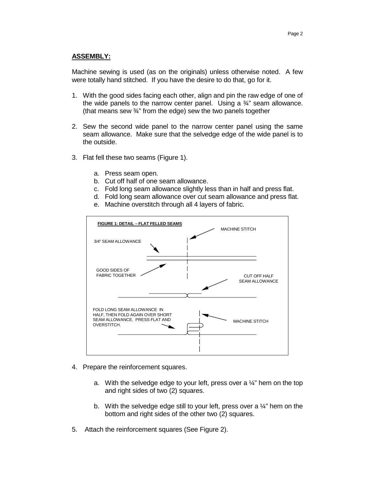#### **ASSEMBLY:**

Machine sewing is used (as on the originals) unless otherwise noted. A few were totally hand stitched. If you have the desire to do that, go for it.

- 1. With the good sides facing each other, align and pin the raw edge of one of the wide panels to the narrow center panel. Using a  $\frac{3}{4}$ " seam allowance. (that means sew ¾" from the edge) sew the two panels together
- 2. Sew the second wide panel to the narrow center panel using the same seam allowance. Make sure that the selvedge edge of the wide panel is to the outside.
- 3. Flat fell these two seams (Figure 1).
	- a. Press seam open.
	- b. Cut off half of one seam allowance.
	- c. Fold long seam allowance slightly less than in half and press flat.
	- d. Fold long seam allowance over cut seam allowance and press flat.
	- e. Machine overstitch through all 4 layers of fabric.



- 4. Prepare the reinforcement squares.
	- a. With the selvedge edge to your left, press over a  $\frac{1}{4}$ " hem on the top and right sides of two (2) squares.
	- b. With the selvedge edge still to your left, press over a  $\frac{1}{4}$ " hem on the bottom and right sides of the other two (2) squares.
- 5. Attach the reinforcement squares (See Figure 2).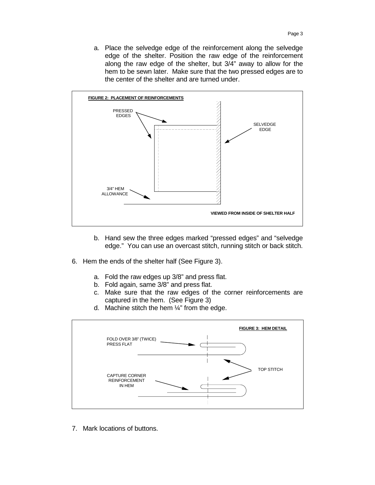a. Place the selvedge edge of the reinforcement along the selvedge edge of the shelter. Position the raw edge of the reinforcement along the raw edge of the shelter, but 3/4" away to allow for the hem to be sewn later. Make sure that the two pressed edges are to the center of the shelter and are turned under.



- b. Hand sew the three edges marked "pressed edges" and "selvedge edge." You can use an overcast stitch, running stitch or back stitch.
- 6. Hem the ends of the shelter half (See Figure 3).
	- a. Fold the raw edges up 3/8" and press flat.
	- b. Fold again, same 3/8" and press flat.
	- c. Make sure that the raw edges of the corner reinforcements are captured in the hem. (See Figure 3)
	- d. Machine stitch the hem  $\frac{1}{4}$ " from the edge.



7. Mark locations of buttons.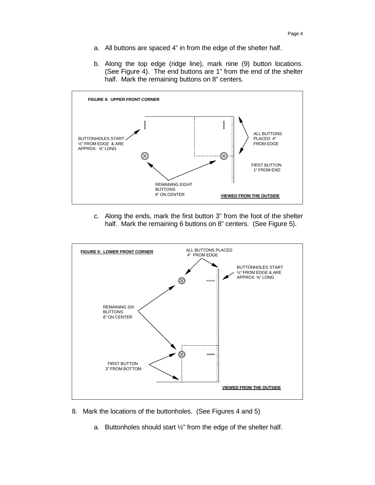- a. All buttons are spaced 4" in from the edge of the shelter half.
- b. Along the top edge (ridge line), mark nine (9) button locations. (See Figure 4). The end buttons are 1" from the end of the shelter half. Mark the remaining buttons on 8" centers.



c. Along the ends, mark the first button 3" from the foot of the shelter half. Mark the remaining 6 buttons on 8" centers. (See Figure 5).



- 8. Mark the locations of the buttonholes. (See Figures 4 and 5)
	- a. Buttonholes should start ½" from the edge of the shelter half.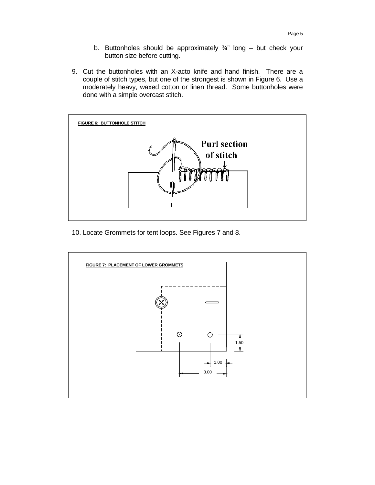- b. Buttonholes should be approximately  $\frac{3}{4}$ " long but check your button size before cutting.
- 9. Cut the buttonholes with an X-acto knife and hand finish. There are a couple of stitch types, but one of the strongest is shown in Figure 6. Use a moderately heavy, waxed cotton or linen thread. Some buttonholes were done with a simple overcast stitch.



10. Locate Grommets for tent loops. See Figures 7 and 8.

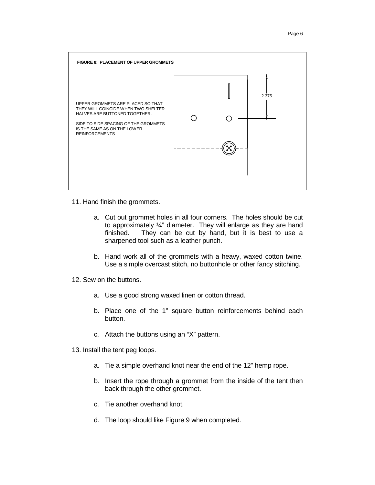

11. Hand finish the grommets.

- a. Cut out grommet holes in all four corners. The holes should be cut to approximately ¼" diameter. They will enlarge as they are hand finished. They can be cut by hand, but it is best to use a sharpened tool such as a leather punch.
- b. Hand work all of the grommets with a heavy, waxed cotton twine. Use a simple overcast stitch, no buttonhole or other fancy stitching.
- 12. Sew on the buttons.
	- a. Use a good strong waxed linen or cotton thread.
	- b. Place one of the 1" square button reinforcements behind each button.
	- c. Attach the buttons using an "X" pattern.
- 13. Install the tent peg loops.
	- a. Tie a simple overhand knot near the end of the 12" hemp rope.
	- b. Insert the rope through a grommet from the inside of the tent then back through the other grommet.
	- c. Tie another overhand knot.
	- d. The loop should like Figure 9 when completed.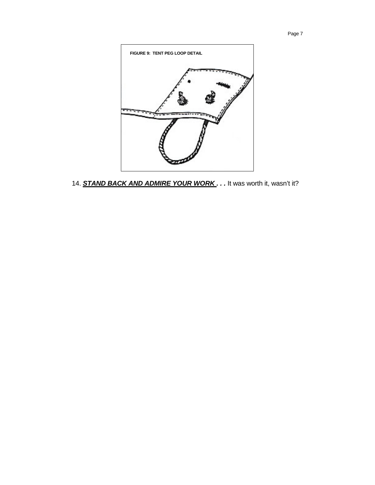

14. **STAND BACK AND ADMIRE YOUR WORK**. . . It was worth it, wasn't it?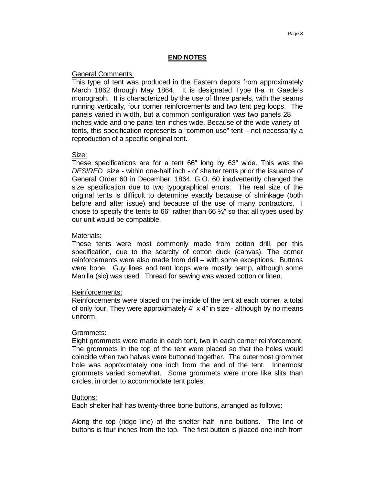# **END NOTES**

#### General Comments:

This type of tent was produced in the Eastern depots from approximately March 1862 through May 1864. It is designated Type II-a in Gaede's monograph. It is characterized by the use of three panels, with the seams running vertically, four corner reinforcements and two tent peg loops. The panels varied in width, but a common configuration was two panels 28 inches wide and one panel ten inches wide. Because of the wide variety of tents, this specification represents a "common use" tent – not necessarily a reproduction of a specific original tent.

#### Size:

These specifications are for a tent 66" long by 63" wide. This was the *DESIRED* size - within one-half inch - of shelter tents prior the issuance of General Order 60 in December, 1864. G.O. 60 inadvertently changed the size specification due to two typographical errors. The real size of the original tents is difficult to determine exactly because of shrinkage (both before and after issue) and because of the use of many contractors. I chose to specify the tents to 66" rather than 66  $\frac{1}{2}$ " so that all types used by our unit would be compatible.

#### Materials:

These tents were most commonly made from cotton drill, per this specification, due to the scarcity of cotton duck (canvas). The corner reinforcements were also made from drill – with some exceptions. Buttons were bone. Guy lines and tent loops were mostly hemp, although some Manilla (sic) was used. Thread for sewing was waxed cotton or linen.

# Reinforcements:

Reinforcements were placed on the inside of the tent at each corner, a total of only four. They were approximately  $4" \times 4"$  in size - although by no means uniform.

# Grommets:

Eight grommets were made in each tent, two in each corner reinforcement. The grommets in the top of the tent were placed so that the holes would coincide when two halves were buttoned together. The outermost grommet hole was approximately one inch from the end of the tent. Innermost grommets varied somewhat. Some grommets were more like slits than circles, in order to accommodate tent poles.

#### Buttons:

Each shelter half has twenty-three bone buttons, arranged as follows:

Along the top (ridge line) of the shelter half, nine buttons. The line of buttons is four inches from the top. The first button is placed one inch from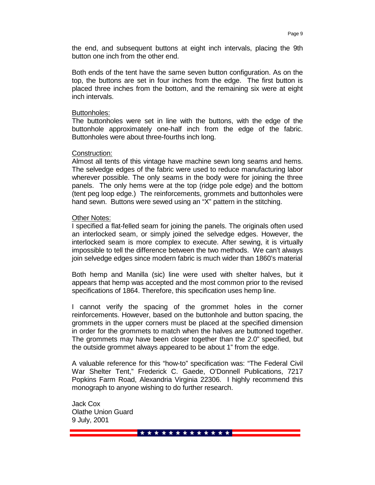the end, and subsequent buttons at eight inch intervals, placing the 9th button one inch from the other end.

Both ends of the tent have the same seven button configuration. As on the top, the buttons are set in four inches from the edge. The first button is placed three inches from the bottom, and the remaining six were at eight inch intervals.

#### Buttonholes:

The buttonholes were set in line with the buttons, with the edge of the buttonhole approximately one-half inch from the edge of the fabric. Buttonholes were about three-fourths inch long.

#### Construction:

Almost all tents of this vintage have machine sewn long seams and hems. The selvedge edges of the fabric were used to reduce manufacturing labor wherever possible. The only seams in the body were for joining the three panels. The only hems were at the top (ridge pole edge) and the bottom (tent peg loop edge.) The reinforcements, grommets and buttonholes were hand sewn. Buttons were sewed using an "X" pattern in the stitching.

# Other Notes:

I specified a flat-felled seam for joining the panels. The originals often used an interlocked seam, or simply joined the selvedge edges. However, the interlocked seam is more complex to execute. After sewing, it is virtually impossible to tell the difference between the two methods. We can't always join selvedge edges since modern fabric is much wider than 1860's material

Both hemp and Manilla (sic) line were used with shelter halves, but it appears that hemp was accepted and the most common prior to the revised specifications of 1864. Therefore, this specification uses hemp line.

I cannot verify the spacing of the grommet holes in the corner reinforcements. However, based on the buttonhole and button spacing, the grommets in the upper corners must be placed at the specified dimension in order for the grommets to match when the halves are buttoned together. The grommets may have been closer together than the 2.0" specified, but the outside grommet always appeared to be about 1" from the edge.

A valuable reference for this "how-to" specification was: "The Federal Civil War Shelter Tent," Frederick C. Gaede, O'Donnell Publications, 7217 Popkins Farm Road, Alexandria Virginia 22306. I highly recommend this monograph to anyone wishing to do further research.

Jack Cox Olathe Union Guard 9 July, 2001